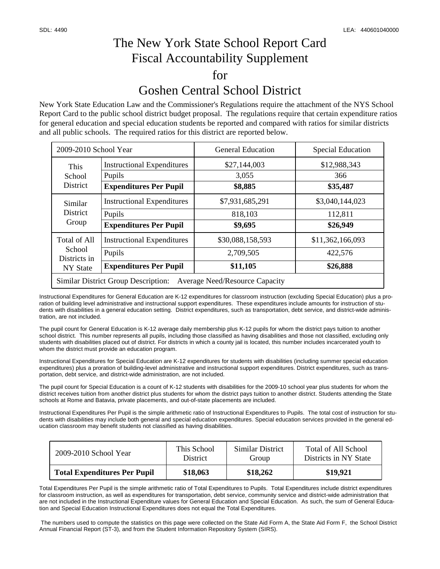## The New York State School Report Card Fiscal Accountability Supplement for Goshen Central School District

New York State Education Law and the Commissioner's Regulations require the attachment of the NYS School Report Card to the public school district budget proposal. The regulations require that certain expenditure ratios for general education and special education students be reported and compared with ratios for similar districts and all public schools. The required ratios for this district are reported below.

| 2009-2010 School Year                                                        |                                   | <b>General Education</b> | <b>Special Education</b> |  |  |  |
|------------------------------------------------------------------------------|-----------------------------------|--------------------------|--------------------------|--|--|--|
| This<br>School<br>District                                                   | <b>Instructional Expenditures</b> | \$27,144,003             | \$12,988,343             |  |  |  |
|                                                                              | Pupils                            | 3,055                    | 366                      |  |  |  |
|                                                                              | <b>Expenditures Per Pupil</b>     | \$8,885                  | \$35,487                 |  |  |  |
| Similar<br><b>District</b><br>Group                                          | <b>Instructional Expenditures</b> | \$7,931,685,291          | \$3,040,144,023          |  |  |  |
|                                                                              | Pupils                            | 818,103                  | 112,811                  |  |  |  |
|                                                                              | <b>Expenditures Per Pupil</b>     | \$9,695                  | \$26,949                 |  |  |  |
| <b>Total of All</b><br>School<br>Districts in<br>NY State                    | <b>Instructional Expenditures</b> | \$30,088,158,593         | \$11,362,166,093         |  |  |  |
|                                                                              | Pupils                            | 2,709,505                | 422,576                  |  |  |  |
|                                                                              | <b>Expenditures Per Pupil</b>     | \$11,105                 | \$26,888                 |  |  |  |
| <b>Similar District Group Description:</b><br>Average Need/Resource Capacity |                                   |                          |                          |  |  |  |

Instructional Expenditures for General Education are K-12 expenditures for classroom instruction (excluding Special Education) plus a proration of building level administrative and instructional support expenditures. These expenditures include amounts for instruction of students with disabilities in a general education setting. District expenditures, such as transportation, debt service, and district-wide administration, are not included.

The pupil count for General Education is K-12 average daily membership plus K-12 pupils for whom the district pays tuition to another school district. This number represents all pupils, including those classified as having disabilities and those not classified, excluding only students with disabilities placed out of district. For districts in which a county jail is located, this number includes incarcerated youth to whom the district must provide an education program.

Instructional Expenditures for Special Education are K-12 expenditures for students with disabilities (including summer special education expenditures) plus a proration of building-level administrative and instructional support expenditures. District expenditures, such as transportation, debt service, and district-wide administration, are not included.

The pupil count for Special Education is a count of K-12 students with disabilities for the 2009-10 school year plus students for whom the district receives tuition from another district plus students for whom the district pays tuition to another district. Students attending the State schools at Rome and Batavia, private placements, and out-of-state placements are included.

Instructional Expenditures Per Pupil is the simple arithmetic ratio of Instructional Expenditures to Pupils. The total cost of instruction for students with disabilities may include both general and special education expenditures. Special education services provided in the general education classroom may benefit students not classified as having disabilities.

| $2009 - 2010$ School Year           | This School     | Similar District | Total of All School   |
|-------------------------------------|-----------------|------------------|-----------------------|
|                                     | <b>District</b> | Group            | Districts in NY State |
| <b>Total Expenditures Per Pupil</b> | \$18,063        | \$18,262         | \$19,921              |

Total Expenditures Per Pupil is the simple arithmetic ratio of Total Expenditures to Pupils. Total Expenditures include district expenditures for classroom instruction, as well as expenditures for transportation, debt service, community service and district-wide administration that are not included in the Instructional Expenditure values for General Education and Special Education. As such, the sum of General Education and Special Education Instructional Expenditures does not equal the Total Expenditures.

 The numbers used to compute the statistics on this page were collected on the State Aid Form A, the State Aid Form F, the School District Annual Financial Report (ST-3), and from the Student Information Repository System (SIRS).